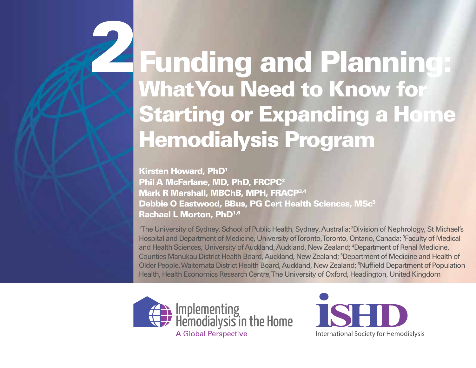# Funding and Planning: What You Need to Know for Starting or Expanding a Home Hemodialysis Program

Kirsten Howard, PhD1 Phil A McFarlane, MD, PhD, FRCPC<sup>2</sup> Mark R Marshall, MBChB, MPH, FRACP3,4 Debbie O Eastwood, BBus, PG Cert Health Sciences, MSc<sup>5</sup> Rachael L Morton, PhD1,6

<sup>1</sup>The University of Sydney, School of Public Health, Sydney, Australia; <sup>2</sup>Division of Nephrology, St Michael's Hospital and Department of Medicine, University of Toronto, Toronto, Ontario, Canada; <sup>3</sup>Faculty of Medical and Health Sciences, University of Auckland, Auckland, New Zealand; <sup>4</sup>Department of Renal Medicine, Counties Manukau District Health Board, Auckland, New Zealand; <sup>5</sup>Department of Medicine and Health of Older People, Waitemata District Health Board, Auckland, New Zealand; <sup>6</sup>Nuffield Department of Population Health, Health Economics Research Centre, The University of Oxford, Headington, United Kingdom



2

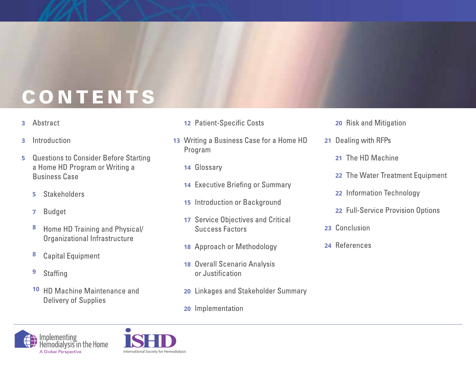# **CONTENTS**

Funding and Planning and Planning and Planning and Planning and Planning and Planning and Planning and Planning

Abstract **3**

2

- Introduction **3**
- **Questions to Consider Before Starting 5** a Home HD Program or Writing a **Business Case** 
	- **Stakeholders 5**
	- **Budget 7**
	- **8** Home HD Training and Physical/ Organizational Infrastructure
	- **Capital Equipment 8**
	- **Staffing 9**
	- **10 HD Machine Maintenance and Delivery of Supplies**
- **12 Patient-Specific Costs**
- **13** Writing a Business Case for a Home HD Program
	- **14**
	- **14 Executive Briefing or Summary**
	- **15** Introduction or Background
	- **17 Service Objectives and Critical Success Factors**
	- **18 Approach or Methodology**
	- **18 Overall Scenario Analysis** or Justification
	- **20 Linkages and Stakeholder Summary**
	- **20** Implementation

Implementing<br>Hemodialysis in the Home **A Global Perspective** 



- **20** Risk and Mitigation
- **21 Dealing with RFPs** 
	- **21 The HD Machine**
	- **22 The Water Treatment Equipment**
	- **22 Information Technology**
	- **22 Full-Service Provision Options**
- 23 Conclusion
- **24**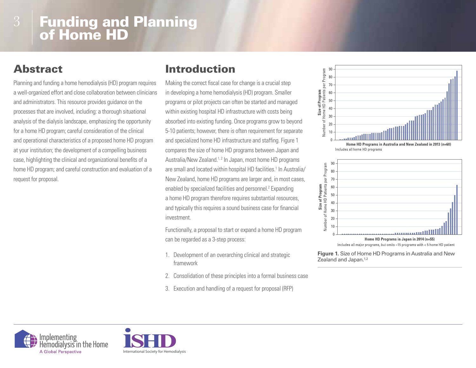## Abstract

3

Planning and funding a home hemodialysis (HD) program requires a well-organized effort and close collaboration between clinicians and administrators. This resource provides guidance on the processes that are involved, including: a thorough situational analysis of the dialysis landscape, emphasizing the opportunity for a home HD program; careful consideration of the clinical and operational characteristics of a proposed home HD program at your institution; the development of a compelling business case, highlighting the clinical and organizational benefits of a home HD program; and careful construction and evaluation of a request for proposal.

### Introduction

Making the correct fiscal case for change is a crucial step in developing a home hemodialysis (HD) program. Smaller programs or pilot projects can often be started and managed within existing hospital HD infrastructure with costs being absorbed into existing funding. Once programs grow to beyond 5-10 patients; however, there is often requirement for separate and specialized home HD infrastructure and staffing. Figure 1 compares the size of home HD programs between Japan and Australia/New Zealand.<sup>1, 2</sup> In Japan, most home HD programs are small and located within hospital HD facilities.<sup>1</sup> In Australia/ New Zealand, home HD programs are larger and, in most cases, enabled by specialized facilities and personnel.<sup>2</sup> Expanding a home HD program therefore requires substantial resources, and typically this requires a sound business case for financial investment.

Functionally, a proposal to start or expand a home HD program can be regarded as a 3-step process:

- 1. Development of an overarching clinical and strategic framework
- 2. Consolidation of these principles into a formal business case
- 3. Execution and handling of a request for proposal (RFP)



Home HD Programs in Japan in 2014 (n=55) Includes all major programs, but omits ~15 programs with < 5 home HD patient

**Figure 1.** Size of Home HD Programs in Australia and New Zealand and Japan.<sup>1,2</sup>



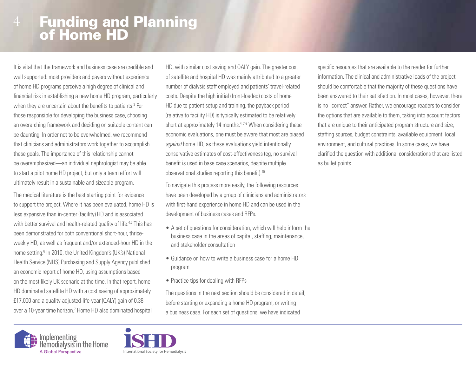It is vital that the framework and business case are credible and well supported: most providers and payers without experience of home HD programs perceive a high degree of clinical and financial risk in establishing a new home HD program, particularly when they are uncertain about the benefits to patients.<sup>3</sup> For those responsible for developing the business case, choosing an overarching framework and deciding on suitable content can be daunting. In order not to be overwhelmed, we recommend that clinicians and administrators work together to accomplish these goals. The importance of this relationship cannot be overemphasized—an individual nephrologist may be able to start a pilot home HD project, but only a team effort will ultimately result in a sustainable and sizeable program.

The medical literature is the best starting point for evidence to support the project. Where it has been evaluated, home HD is less expensive than in-center (facility) HD and is associated with better survival and health-related quality of life.<sup>4,5</sup> This has been demonstrated for both conventional short-hour, thriceweekly HD, as well as frequent and/or extended-hour HD in the home setting.<sup>6</sup> In 2010, the United Kingdom's (UK's) National Health Service (NHS) Purchasing and Supply Agency published an economic report of home HD, using assumptions based on the most likely UK scenario at the time. In that report, home HD dominated satellite HD with a cost saving of approximately £17,000 and a quality-adjusted-life-year (QALY) gain of 0.38 over a 10-year time horizon.<sup>7</sup> Home HD also dominated hospital

HD, with similar cost saving and QALY gain. The greater cost of satellite and hospital HD was mainly attributed to a greater number of dialysis staff employed and patients' travel-related costs. Despite the high initial (front-loaded) costs of home HD due to patient setup and training, the payback period (relative to facility HD) is typically estimated to be relatively short at approximately 14 months.<sup>4, 7-9</sup> When considering these economic evaluations, one must be aware that most are biased *against* home HD, as these evaluations yield intentionally conservative estimates of cost-effectiveness (eg, no survival benefit is used in base case scenarios, despite multiple observational studies reporting this benefit).<sup>10</sup>

To navigate this process more easily, the following resources have been developed by a group of clinicians and administrators with first-hand experience in home HD and can be used in the development of business cases and RFPs.

- A set of questions for consideration, which will help inform the business case in the areas of capital, staffing, maintenance, and stakeholder consultation
- Guidance on how to write a business case for a home HD program
- Practice tips for dealing with RFPs

The questions in the next section should be considered in detail, before starting or expanding a home HD program, or writing a business case. For each set of questions, we have indicated





specific resources that are available to the reader for further information. The clinical and administrative leads of the project should be comfortable that the majority of these questions have been answered to their satisfaction. In most cases, however, there is no "correct" answer. Rather, we encourage readers to consider the options that are available to them, taking into account factors that are unique to their anticipated program structure and size, staffing sources, budget constraints, available equipment, local environment, and cultural practices. In some cases, we have clarified the question with additional considerations that are listed as bullet points.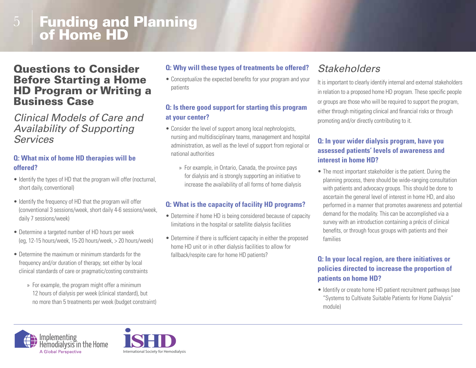### Questions to Consider Before Starting a Home HD Program or Writing a Business Case

### *Clinical Models of Care and Availability of Supporting Services*

#### **Q: What mix of home HD therapies will be offered?**

- Identify the types of HD that the program will offer (nocturnal, short daily, conventional)
- Identify the frequency of HD that the program will offer (conventional 3 sessions/week, short daily 4-6 sessions/week, daily 7 sessions/week)
- Determine a targeted number of HD hours per week (eg, 12-15 hours/week, 15-20 hours/week, > 20 hours/week)
- Determine the maximum or minimum standards for the frequency and/or duration of therapy, set either by local clinical standards of care or pragmatic/costing constraints
	- » For example, the program might offer a minimum 12 hours of dialysis per week (clinical standard), but no more than 5 treatments per week (budget constraint)

#### **Q: Why will these types of treatments be offered?**

• Conceptualize the expected benefits for your program and your patients

#### **Q: Is there good support for starting this program at your center?**

- Consider the level of support among local nephrologists, nursing and multidisciplinary teams, management and hospital administration, as well as the level of support from regional or national authorities
	- » For example, in Ontario, Canada, the province pays for dialysis and is strongly supporting an initiative to increase the availability of all forms of home dialysis

#### **Q: What is the capacity of facility HD programs?**

- Determine if home HD is being considered because of capacity limitations in the hospital or satellite dialysis facilities
- Determine if there is sufficient capacity in either the proposed home HD unit or in other dialysis facilities to allow for fallback/respite care for home HD patients?

## *Stakeholders*

It is important to clearly identify internal and external stakeholders in relation to a proposed home HD program. These specific people or groups are those who will be required to support the program, either through mitigating clinical and financial risks or through promoting and/or directly contributing to it.

#### **Q: In your wider dialysis program, have you assessed patients' levels of awareness and interest in home HD?**

• The most important stakeholder is the patient. During the planning process, there should be wide-ranging consultation with patients and advocacy groups. This should be done to ascertain the general level of interest in home HD, and also performed in a manner that promotes awareness and potential demand for the modality. This can be accomplished via a survey with an introduction containing a précis of clinical benefits, or through focus groups with patients and their families

#### **Q: In your local region, are there initiatives or policies directed to increase the proportion of patients on home HD?**

• Identify or create home HD patient recruitment pathways (see "Systems to Cultivate Suitable Patients for Home Dialysis" module)



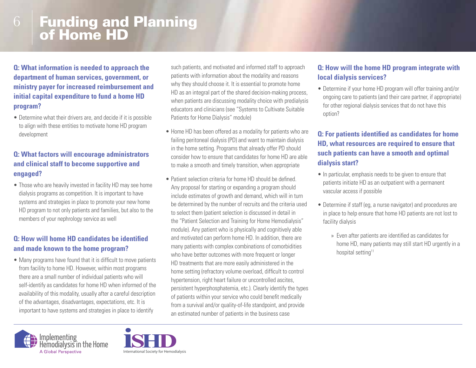**Q: What information is needed to approach the department of human services, government, or ministry payer for increased reimbursement and initial capital expenditure to fund a home HD program?**

• Determine what their drivers are, and decide if it is possible to align with these entities to motivate home HD program development

#### **Q: What factors will encourage administrators and clinical staff to become supportive and engaged?**

• Those who are heavily invested in facility HD may see home dialysis programs as competition. It is important to have systems and strategies in place to promote your new home HD program to not only patients and families, but also to the members of your nephrology service as well

#### **Q: How will home HD candidates be identified and made known to the home program?**

• Many programs have found that it is difficult to move patients from facility to home HD. However, within most programs there are a small number of individual patients who will self-identify as candidates for home HD when informed of the availability of this modality, usually after a careful description of the advantages, disadvantages, expectations, etc. It is important to have systems and strategies in place to identify

such patients, and motivated and informed staff to approach patients with information about the modality and reasons why they should choose it. It is essential to promote home HD as an integral part of the shared decision-making process, when patients are discussing modality choice with predialysis educators and clinicians (see "Systems to Cultivate Suitable Patients for Home Dialysis" module)

- Home HD has been offered as a modality for patients who are failing peritoneal dialysis (PD) and want to maintain dialysis in the home setting. Programs that already offer PD should consider how to ensure that candidates for home HD are able to make a smooth and timely transition, when appropriate
- Patient selection criteria for home HD should be defined. Any proposal for starting or expanding a program should include estimates of growth and demand, which will in turn be determined by the number of recruits and the criteria used to select them (patient selection is discussed in detail in the "Patient Selection and Training for Home Hemodialysis" module). Any patient who is physically and cognitively able and motivated can perform home HD. In addition, there are many patients with complex combinations of comorbidities who have better outcomes with more frequent or longer HD treatments that are more easily administered in the home setting (refractory volume overload, difficult to control hypertension, right heart failure or uncontrolled ascites, persistent hyperphosphatemia, etc.). Clearly identify the types of patients within your service who could benefit medically from a survival and/or quality-of-life standpoint, and provide an estimated number of patients in the business case

#### **Q: How will the home HD program integrate with local dialysis services?**

• Determine if your home HD program will offer training and/or ongoing care to patients (and their care partner, if appropriate) for other regional dialysis services that do not have this option?

#### **Q: For patients identified as candidates for home HD, what resources are required to ensure that such patients can have a smooth and optimal dialysis start?**

- In particular, emphasis needs to be given to ensure that patients initiate HD as an outpatient with a permanent vascular access if possible
- Determine if staff (eg, a nurse navigator) and procedures are in place to help ensure that home HD patients are not lost to facility dialysis
	- » Even after patients are identified as candidates for home HD, many patients may still start HD urgently in a hospital setting<sup>11</sup>



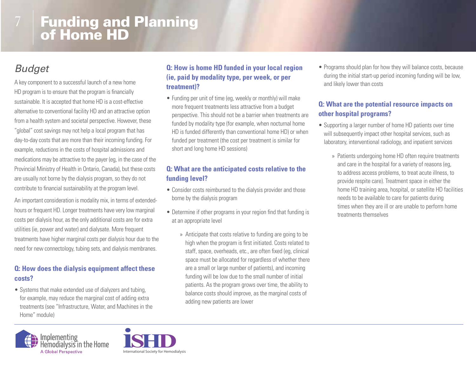## *Budget*

A key component to a successful launch of a new home HD program is to ensure that the program is financially sustainable. It is accepted that home HD is a cost-effective alternative to conventional facility HD and an attractive option from a health system and societal perspective. However, these "global" cost savings may not help a local program that has day-to-day costs that are more than their incoming funding. For example, reductions in the costs of hospital admissions and medications may be attractive to the payer (eg, in the case of the Provincial Ministry of Health in Ontario, Canada), but these costs are usually not borne by the dialysis program, so they do not contribute to financial sustainability at the program level.

An important consideration is modality mix, in terms of extendedhours or frequent HD. Longer treatments have very low marginal costs per dialysis hour, as the only additional costs are for extra utilities (ie, power and water) and dialysate. More frequent treatments have higher marginal costs per dialysis hour due to the need for new connectology, tubing sets, and dialysis membranes.

#### **Q: How does the dialysis equipment affect these costs?**

• Systems that make extended use of dialyzers and tubing, for example, may reduce the marginal cost of adding extra treatments (see "Infrastructure, Water, and Machines in the Home" module)

#### **Q: How is home HD funded in your local region (ie, paid by modality type, per week, or per treatment)?**

• Funding per unit of time (eg, weekly or monthly) will make more frequent treatments less attractive from a budget perspective. This should not be a barrier when treatments are funded by modality type (for example, when nocturnal home HD is funded differently than conventional home HD) or when funded per treatment (the cost per treatment is similar for short and long home HD sessions)

#### **Q: What are the anticipated costs relative to the funding level?**

- Consider costs reimbursed to the dialysis provider and those borne by the dialysis program
- Determine if other programs in your region find that funding is at an appropriate level
	- » Anticipate that costs relative to funding are going to be high when the program is first initiated. Costs related to staff, space, overheads, etc., are often fixed (eg, clinical space must be allocated for regardless of whether there are a small or large number of patients), and incoming funding will be low due to the small number of initial patients. As the program grows over time, the ability to balance costs should improve, as the marginal costs of adding new patients are lower

• Programs should plan for how they will balance costs, because during the initial start-up period incoming funding will be low, and likely lower than costs

#### **Q: What are the potential resource impacts on other hospital programs?**

- Supporting a larger number of home HD patients over time will subsequently impact other hospital services, such as laboratory, interventional radiology, and inpatient services
	- » Patients undergoing home HD often require treatments and care in the hospital for a variety of reasons (eg, to address access problems, to treat acute illness, to provide respite care). Treatment space in either the home HD training area, hospital, or satellite HD facilities needs to be available to care for patients during times when they are ill or are unable to perform home treatments themselves



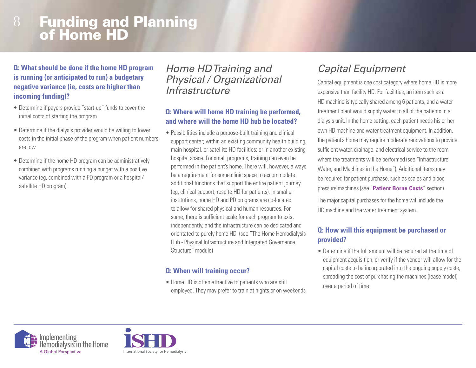**Q: What should be done if the home HD program is running (or anticipated to run) a budgetary negative variance (ie, costs are higher than incoming funding)?**

- Determine if payers provide "start-up" funds to cover the initial costs of starting the program
- Determine if the dialysis provider would be willing to lower costs in the initial phase of the program when patient numbers are low
- Determine if the home HD program can be administratively combined with programs running a budget with a positive variance (eg, combined with a PD program or a hospital/ satellite HD program)

### *Home HD Training and Physical / Organizational Infrastructure*

#### **Q: Where will home HD training be performed, and where will the home HD hub be located?**

• Possibilities include a purpose-built training and clinical support center; within an existing community health building, main hospital, or satellite HD facilities; or in another existing hospital space. For small programs, training can even be performed in the patient's home. There will, however, always be a requirement for some clinic space to accommodate additional functions that support the entire patient journey (eg, clinical support, respite HD for patients). In smaller institutions, home HD and PD programs are co-located to allow for shared physical and human resources. For some, there is sufficient scale for each program to exist independently, and the infrastructure can be dedicated and orientated to purely home HD (see "The Home Hemodialysis Hub - Physical Infrastructure and Integrated Governance Structure" module)

#### **Q: When will training occur?**

• Home HD is often attractive to patients who are still employed. They may prefer to train at nights or on weekends

## *Capital Equipment*

Capital equipment is one cost category where home HD is more expensive than facility HD. For facilities, an item such as a HD machine is typically shared among 6 patients, and a water treatment plant would supply water to all of the patients in a dialysis unit. In the home setting, each patient needs his or her own HD machine and water treatment equipment. In addition, the patient's home may require moderate renovations to provide sufficient water, drainage, and electrical service to the room where the treatments will be performed (see "Infrastructure, Water, and Machines in the Home"). Additional items may be required for patient purchase, such as scales and blood pressure machines (see "**Patient Borne Costs**" section).

The major capital purchases for the home will include the HD machine and the water treatment system.

#### **Q: How will this equipment be purchased or provided?**

• Determine if the full amount will be required at the time of equipment acquisition, or verify if the vendor will allow for the capital costs to be incorporated into the ongoing supply costs, spreading the cost of purchasing the machines (lease model) over a period of time



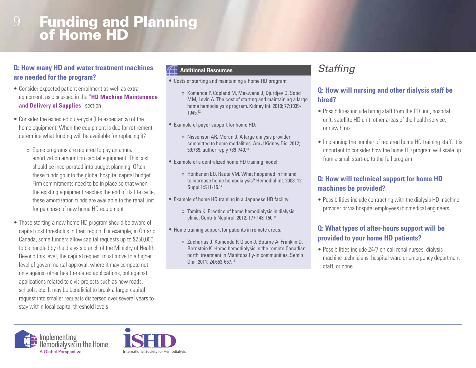#### **Q: How many HD and water treatment machines are needed for the program?**

- Consider expected patient enrollment as well as extra equipment, as discussed in the "**HD Machine Maintenance and Delivery of Supplies**" section
- Consider the expected duty-cycle (life expectancy) of the home equipment. When the equipment is due for retirement, determine what funding will be available for replacing it?
	- » Some programs are required to pay an annual amortization amount on capital equipment. This cost should be incorporated into budget planning. Often, these funds go into the global hospital capital budget. Firm commitments need to be in place so that when the existing equipment reaches the end of its life cycle, these amortization funds are available to the renal unit for purchase of new home HD equipment
- Those starting a new home HD program should be aware of capital cost thresholds in their region. For example, in Ontario, Canada, some funders allow capital requests up to \$250,000 to be handled by the dialysis branch of the Ministry of Health. Beyond this level, the capital request must move to a higher level of governmental approval, where it may compete not only against other health-related applications, but against applications related to civic projects such as new roads, schools, etc. It may be beneficial to break a larger capital request into smaller requests dispersed over several years to stay within local capital threshold levels

#### **Additional Resources**

- Costs of starting and maintaining a home HD program:
	- » Komenda P, Copland M, Makwana J, Djurdjev O, Sood MM, Levin A. The cost of starting and maintaining a large home hemodialysis program. Kidney Int. 2010; 77:1039- 1045.12
- Example of payer support for home HD:
	- » Nissenson AR, Moran J. A large dialysis provider committed to home modalities. Am J Kidney Dis. 2012; 59:739; author reply 739-740.13
- Example of a centralized home HD training model:
	- » Honkanen EO, Rauta VM. What happened in Finland to increase home hemodialysis? Hemodial Int. 2008; 12 Suppl 1:S11-15.14
- Example of home HD training in a Japanese HD facility:
	- » Tomita K. Practice of home hemodialysis in dialysis clinic. Contrib Nephrol. 2012; 177:143-150.15
- Home training support for patients in remote areas:
	- » Zacharias J, Komenda P, Olson J, Bourne A, Franklin D, Bernstein K. Home hemodialysis in the remote Canadian north: treatment in Manitoba fly-in communities. Semin Dial. 2011; 24:653-657.<sup>16</sup>

## *Staffing*

#### **Q: How will nursing and other dialysis staff be hired?**

- Possibilities include hiring staff from the PD unit, hospital unit, satellite HD unit, other areas of the health service, or new hires
- In planning the number of required home HD training staff, it is important to consider how the home HD program will scale up from a small start-up to the full program

#### **Q: How will technical support for home HD machines be provided?**

• Possibilities include contracting with the dialysis HD machine provider or via hospital employees (biomedical engineers)

#### **Q: What types of after-hours support will be provided to your home HD patients?**

• Possibilities include 24/7 on-call renal nurses, dialysis machine technicians, hospital ward or emergency department staff, or none



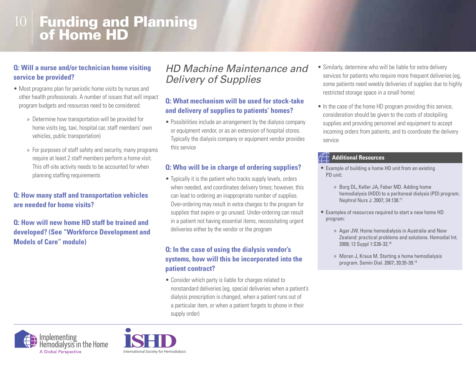#### **Q: Will a nurse and/or technician home visiting service be provided?**

- Most programs plan for periodic home visits by nurses and other health professionals. A number of issues that will impact program budgets and resources need to be considered:
	- » Determine how transportation will be provided for home visits (eg, taxi, hospital car, staff members' own vehicles, public transportation)
	- » For purposes of staff safety and security, many programs require at least 2 staff members perform a home visit. This off-site activity needs to be accounted for when planning staffing requirements

#### **Q: How many staff and transportation vehicles are needed for home visits?**

**Q: How will new home HD staff be trained and developed? (See "Workforce Development and Models of Care" module)**

### *HD Machine Maintenance and Delivery of Supplies*

#### **Q: What mechanism will be used for stock-take and delivery of supplies to patients' homes?**

• Possibilities include an arrangement by the dialysis company or equipment vendor, or as an extension of hospital stores. Typically the dialysis company or equipment vendor provides this service

#### **Q: Who will be in charge of ordering supplies?**

• Typically it is the patient who tracks supply levels, orders when needed, and coordinates delivery times; however, this can lead to ordering an inappropriate number of supplies. Over-ordering may result in extra charges to the program for supplies that expire or go unused. Under-ordering can result in a patient not having essential items, necessitating urgent deliveries either by the vendor or the program

#### **Q: In the case of using the dialysis vendor's systems, how will this be incorporated into the patient contract?**

• Consider which party is liable for charges related to nonstandard deliveries (eg, special deliveries when a patient's dialysis prescription is changed, when a patient runs out of a particular item, or when a patient forgets to phone in their supply order)

- Similarly, determine who will be liable for extra delivery services for patients who require more frequent deliveries (eg, some patients need weekly deliveries of supplies due to highly restricted storage space in a small home)
- In the case of the home HD program providing this service, consideration should be given to the costs of stockpiling supplies and providing personnel and equipment to accept incoming orders from patients, and to coordinate the delivery service

#### **Additional Resources**

- Example of building a home HD unit from an existing PD unit:
	- » Borg DL, Keller JA, Faber MD. Adding home hemodialysis (HDD) to a peritoneal dialysis (PD) program. Nephrol Nurs J. 2007; 34:138.17
- Examples of resources required to start a new home HD program:
	- » Agar JW. Home hemodialysis in Australia and New Zealand: practical problems and solutions. Hemodial Int. 2008; 12 Suppl 1:S26-32.18
	- » Moran J, Kraus M. Starting a home hemodialysis program. Semin Dial. 2007; 20:35-39.19



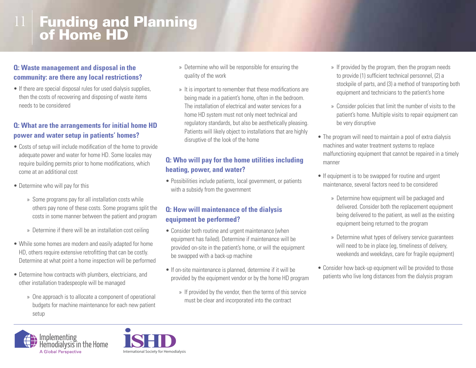#### **Q: Waste management and disposal in the community: are there any local restrictions?**

• If there are special disposal rules for used dialysis supplies, then the costs of recovering and disposing of waste items needs to be considered

#### **Q: What are the arrangements for initial home HD power and water setup in patients' homes?**

- Costs of setup will include modification of the home to provide adequate power and water for home HD. Some locales may require building permits prior to home modifications, which come at an additional cost
- Determine who will pay for this
	- » Some programs pay for all installation costs while others pay none of these costs. Some programs split the costs in some manner between the patient and program
	- » Determine if there will be an installation cost ceiling
- While some homes are modern and easily adapted for home HD, others require extensive retrofitting that can be costly. Determine at what point a home inspection will be performed
- Determine how contracts with plumbers, electricians, and other installation tradespeople will be managed
	- » One approach is to allocate a component of operational budgets for machine maintenance for each new patient setup
- » Determine who will be responsible for ensuring the quality of the work
- » It is important to remember that these modifications are being made in a patient's home, often in the bedroom. The installation of electrical and water services for a home HD system must not only meet technical and regulatory standards, but also be aesthetically pleasing. Patients will likely object to installations that are highly disruptive of the look of the home

#### **Q: Who will pay for the home utilities including heating, power, and water?**

• Possibilities include patients, local government, or patients with a subsidy from the government

#### **Q: How will maintenance of the dialysis equipment be performed?**

- Consider both routine and urgent maintenance (when equipment has failed). Determine if maintenance will be provided on-site in the patient's home, or will the equipment be swapped with a back-up machine
- If on-site maintenance is planned, determine if it will be provided by the equipment vendor or by the home HD program
	- » If provided by the vendor, then the terms of this service must be clear and incorporated into the contract
- » If provided by the program, then the program needs to provide (1) sufficient technical personnel, (2) a stockpile of parts, and (3) a method of transporting both equipment and technicians to the patient's home
- » Consider policies that limit the number of visits to the patient's home. Multiple visits to repair equipment can be very disruptive
- The program will need to maintain a pool of extra dialysis machines and water treatment systems to replace malfunctioning equipment that cannot be repaired in a timely manner
- If equipment is to be swapped for routine and urgent maintenance, several factors need to be considered
	- » Determine how equipment will be packaged and delivered. Consider both the replacement equipment being delivered to the patient, as well as the existing equipment being returned to the program
	- » Determine what types of delivery service guarantees will need to be in place (eg, timeliness of delivery, weekends and weekdays, care for fragile equipment)
- Consider how back-up equipment will be provided to those patients who live long distances from the dialysis program



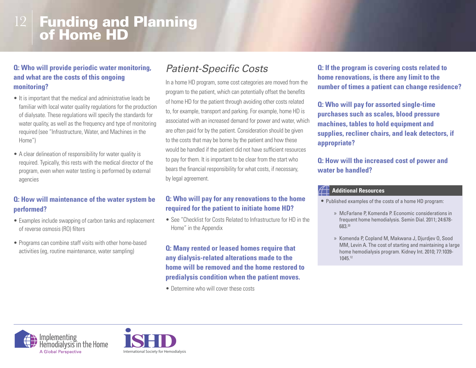#### **Q: Who will provide periodic water monitoring, and what are the costs of this ongoing monitoring?**

- It is important that the medical and administrative leads be familiar with local water quality regulations for the production of dialysate. These regulations will specify the standards for water quality, as well as the frequency and type of monitoring required (see "Infrastructure, Water, and Machines in the Home")
- A clear delineation of responsibility for water quality is required. Typically, this rests with the medical director of the program, even when water testing is performed by external agencies

#### **Q: How will maintenance of the water system be performed?**

- Examples include swapping of carbon tanks and replacement of reverse osmosis (RO) filters
- Programs can combine staff visits with other home-based activities (eg, routine maintenance, water sampling)

## *Patient-Specific Costs*

In a home HD program, some cost categories are moved from the program to the patient, which can potentially offset the benefits of home HD for the patient through avoiding other costs related to, for example, transport and parking. For example, home HD is associated with an increased demand for power and water, which are often paid for by the patient. Consideration should be given to the costs that may be borne by the patient and how these would be handled if the patient did not have sufficient resources to pay for them. It is important to be clear from the start who bears the financial responsibility for what costs, if necessary, by legal agreement.

#### **Q: Who will pay for any renovations to the home required for the patient to initiate home HD?**

• See "Checklist for Costs Related to Infrastructure for HD in the Home" in the Appendix

**Q: Many rented or leased homes require that any dialysis-related alterations made to the home will be removed and the home restored to predialysis condition when the patient moves.** 

• Determine who will cover these costs

**Q: If the program is covering costs related to home renovations, is there any limit to the number of times a patient can change residence?**

**Q: Who will pay for assorted single-time purchases such as scales, blood pressure machines, tables to hold equipment and supplies, recliner chairs, and leak detectors, if appropriate?** 

#### **Q: How will the increased cost of power and water be handled?**

#### **Additional Resources**

- Published examples of the costs of a home HD program:
	- » McFarlane P, Komenda P. Economic considerations in frequent home hemodialysis. Semin Dial. 2011; 24:678- 683.20
	- » Komenda P, Copland M, Makwana J, Djurdjev O, Sood MM, Levin A. The cost of starting and maintaining a large home hemodialysis program. Kidney Int. 2010; 77:1039- 1045.12



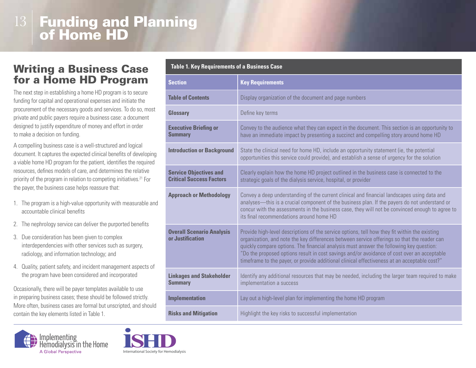### Writing a Business Case for a Home HD Program

The next step in establishing a home HD program is to secure funding for capital and operational expenses and initiate the procurement of the necessary goods and services. To do so, most private and public payers require a business case: a document designed to justify expenditure of money and effort in order to make a decision on funding.

A compelling business case is a well-structured and logical document. It captures the expected clinical benefits of developing a viable home HD program for the patient, identifies the required resources, defines models of care, and determines the relative priority of the program in relation to competing initiatives.<sup>21</sup> For the payer, the business case helps reassure that:

- 1. The program is a high-value opportunity with measurable and accountable clinical benefits
- 2. The nephrology service can deliver the purported benefits
- 3. Due consideration has been given to complex interdependencies with other services such as surgery, radiology, and information technology; and
- 4. Quality, patient safety, and incident management aspects of the program have been considered and incorporated

Occasionally, there will be payer templates available to use in preparing business cases; these should be followed strictly. More often, business cases are formal but unscripted, and should contain the key elements listed in Table 1.





| <b>Table 1. Key Requirements of a Business Case</b>              |                                                                                                                                                                                                                                                                                                                                                                                                                                                                                        |  |  |
|------------------------------------------------------------------|----------------------------------------------------------------------------------------------------------------------------------------------------------------------------------------------------------------------------------------------------------------------------------------------------------------------------------------------------------------------------------------------------------------------------------------------------------------------------------------|--|--|
| <b>Section</b>                                                   | <b>Key Requirements</b>                                                                                                                                                                                                                                                                                                                                                                                                                                                                |  |  |
| <b>Table of Contents</b>                                         | Display organization of the document and page numbers                                                                                                                                                                                                                                                                                                                                                                                                                                  |  |  |
| <b>Glossary</b>                                                  | Define key terms                                                                                                                                                                                                                                                                                                                                                                                                                                                                       |  |  |
| <b>Executive Briefing or</b><br><b>Summary</b>                   | Convey to the audience what they can expect in the document. This section is an opportunity to<br>have an immediate impact by presenting a succinct and compelling story around home HD                                                                                                                                                                                                                                                                                                |  |  |
| <b>Introduction or Background</b>                                | State the clinical need for home HD, include an opportunity statement (ie, the potential<br>opportunities this service could provide), and establish a sense of urgency for the solution                                                                                                                                                                                                                                                                                               |  |  |
| <b>Service Objectives and</b><br><b>Critical Success Factors</b> | Clearly explain how the home HD project outlined in the business case is connected to the<br>strategic goals of the dialysis service, hospital, or provider                                                                                                                                                                                                                                                                                                                            |  |  |
| <b>Approach or Methodology</b>                                   | Convey a deep understanding of the current clinical and financial landscapes using data and<br>analyses—this is a crucial component of the business plan. If the payers do not understand or<br>concur with the assessments in the business case, they will not be convinced enough to agree to<br>its final recommendations around home HD                                                                                                                                            |  |  |
| <b>Overall Scenario Analysis</b><br>or Justification             | Provide high-level descriptions of the service options, tell how they fit within the existing<br>organization, and note the key differences between service offerings so that the reader can<br>quickly compare options. The financial analysis must answer the following key question:<br>"Do the proposed options result in cost savings and/or avoidance of cost over an acceptable<br>timeframe to the payer, or provide additional clinical effectiveness at an acceptable cost?" |  |  |
| <b>Linkages and Stakeholder</b><br><b>Summary</b>                | Identify any additional resources that may be needed, including the larger team required to make<br>implementation a success                                                                                                                                                                                                                                                                                                                                                           |  |  |
| <b>Implementation</b>                                            | Lay out a high-level plan for implementing the home HD program                                                                                                                                                                                                                                                                                                                                                                                                                         |  |  |
| <b>Risks and Mitigation</b>                                      | Highlight the key risks to successful implementation                                                                                                                                                                                                                                                                                                                                                                                                                                   |  |  |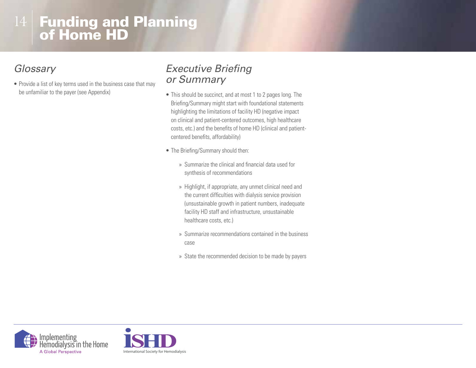## *Glossary*

• Provide a list of key terms used in the business case that may be unfamiliar to the payer (see Appendix)

### *Executive Briefing or Summary*

- This should be succinct, and at most 1 to 2 pages long. The Briefing/Summary might start with foundational statements highlighting the limitations of facility HD (negative impact on clinical and patient-centered outcomes, high healthcare costs, etc.) and the benefits of home HD (clinical and patientcentered benefits, affordability)
- The Briefing/Summary should then:
	- » Summarize the clinical and financial data used for synthesis of recommendations
	- » Highlight, if appropriate, any unmet clinical need and the current difficulties with dialysis service provision (unsustainable growth in patient numbers, inadequate facility HD staff and infrastructure, unsustainable healthcare costs, etc.)
	- » Summarize recommendations contained in the business case
	- » State the recommended decision to be made by payers



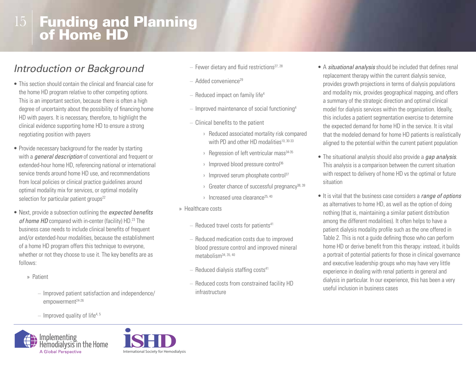### *Introduction or Background*

- This section should contain the clinical and financial case for the home HD program relative to other competing options. This is an important section, because there is often a high degree of uncertainty about the possibility of financing home HD with payers. It is necessary, therefore, to highlight the clinical evidence supporting home HD to ensure a strong negotiating position with payers
- Provide necessary background for the reader by starting with a *general description* of conventional and frequent or extended-hour home HD, referencing national or international service trends around home HD use, and recommendations from local policies or clinical practice guidelines around optimal modality mix for services, or optimal modality selection for particular patient groups<sup>22</sup>
- Next, provide a subsection outlining the *expected benefits*  of home HD compared with in-center (facility) HD.<sup>23</sup> The business case needs to include clinical benefits of frequent and/or extended-hour modalities, because the establishment of a home HD program offers this technique to everyone, whether or not they choose to use it. The key benefits are as follows:
	- » Patient
		- Improved patient satisfaction and independence/ empowerment<sup>24-26</sup>
		- $-$  Improved quality of life<sup>4, 5</sup>



- $-$  Fewer dietary and fluid restrictions<sup>27, 28</sup>
- $-$  Added convenience<sup>29</sup>
- $-$  Reduced impact on family life<sup>4</sup>
- $-$  Improved maintenance of social functioning<sup>4</sup>
- Clinical benefits to the patient
	- › Reduced associated mortality risk compared with PD and other HD modalities<sup>10, 30-33</sup>
	- $\rightarrow$  Regression of left ventricular mass<sup>34-35</sup>
	- <sup>></sup> Improved blood pressure control<sup>36</sup>
	- > Improved serum phosphate control<sup>37</sup>
	- $\rightarrow$  Greater chance of successful pregnancy<sup>38, 39</sup>
	- $\mu$  Increased urea clearance<sup>25, 40</sup>
- » Healthcare costs
	- $-$  Reduced travel costs for patients<sup>41</sup>
	- Reduced medication costs due to improved blood pressure control and improved mineral metabolism<sup>34, 35, 40</sup>
	- $-$  Reduced dialysis staffing costs<sup>41</sup>
	- Reduced costs from constrained facility HD **infrastructure**
- A *situational analysis* should be included that defines renal replacement therapy within the current dialysis service, provides growth projections in terms of dialysis populations and modality mix, provides geographical mapping, and offers a summary of the strategic direction and optimal clinical model for dialysis services within the organization. Ideally, this includes a patient segmentation exercise to determine the expected demand for home HD in the service. It is vital that the modeled demand for home HD patients is realistically aligned to the potential within the current patient population
- The situational analysis should also provide a *gap analysis*. This analysis is a comparison between the current situation with respect to delivery of home HD vs the optimal or future situation
- It is vital that the business case considers a *range of options* as alternatives to home HD, as well as the option of doing nothing (that is, maintaining a similar patient distribution among the different modalities). It often helps to have a patient dialysis modality profile such as the one offered in Table 2. This is not a guide defining those who can perform home HD or derive benefit from this therapy: instead, it builds a portrait of potential patients for those in clinical governance and executive leadership groups who may have very little experience in dealing with renal patients in general and dialysis in particular. In our experience, this has been a very useful inclusion in business cases

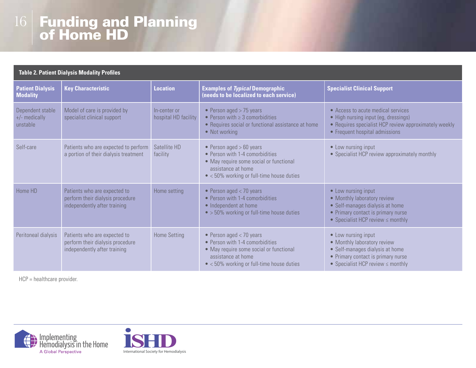| <b>Table 2. Patient Dialysis Modality Profiles</b> |                                                                                                  |                                      |                                                                                                                                                                             |                                                                                                                                                                       |  |  |
|----------------------------------------------------|--------------------------------------------------------------------------------------------------|--------------------------------------|-----------------------------------------------------------------------------------------------------------------------------------------------------------------------------|-----------------------------------------------------------------------------------------------------------------------------------------------------------------------|--|--|
| <b>Patient Dialysis</b><br><b>Modality</b>         | <b>Key Characteristic</b>                                                                        | <b>Location</b>                      | <b>Examples of Typical Demographic</b><br>(needs to be localized to each service)                                                                                           | <b>Specialist Clinical Support</b>                                                                                                                                    |  |  |
| Dependent stable<br>+/- medically<br>unstable      | Model of care is provided by<br>specialist clinical support                                      | In-center or<br>hospital HD facility | • Person aged > 75 years<br>• Person with $\geq 3$ comorbidities<br>• Requires social or functional assistance at home<br>• Not working                                     | • Access to acute medical services<br>• High nursing input (eg, dressings)<br>• Requires specialist HCP review approximately weekly<br>• Frequent hospital admissions |  |  |
| Self-care                                          | Patients who are expected to perform<br>a portion of their dialysis treatment                    | Satellite HD<br>facility             | • Person aged $> 60$ years<br>• Person with 1-4 comorbidities<br>• May require some social or functional<br>assistance at home<br>• < 50% working or full-time house duties | • Low nursing input<br>• Specialist HCP review approximately monthly                                                                                                  |  |  |
| Home HD                                            | Patients who are expected to<br>perform their dialysis procedure<br>independently after training | Home setting                         | • Person aged $<$ 70 years<br>• Person with 1-4 comorbidities<br>• Independent at home<br>· > 50% working or full-time house duties                                         | • Low nursing input<br>• Monthly laboratory review<br>• Self-manages dialysis at home<br>• Primary contact is primary nurse<br>• Specialist HCP review $\leq$ monthly |  |  |
| Peritoneal dialysis                                | Patients who are expected to<br>perform their dialysis procedure<br>independently after training | Home Setting                         | • Person aged $<$ 70 years<br>• Person with 1-4 comorbidities<br>• May require some social or functional<br>assistance at home<br>• < 50% working or full-time house duties | • Low nursing input<br>• Monthly laboratory review<br>• Self-manages dialysis at home<br>• Primary contact is primary nurse<br>• Specialist HCP review $\leq$ monthly |  |  |

HCP = healthcare provider.



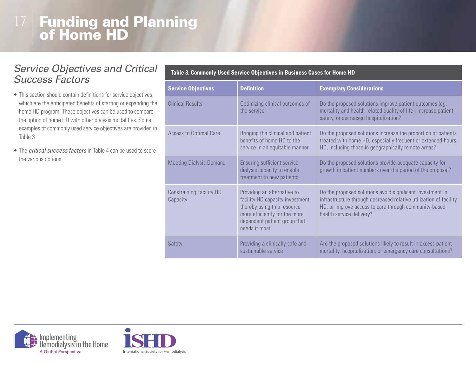### *Service Objectives and Critical Success Factors*

- This section should contain definitions for service objectives, which are the anticipated benefits of starting or expanding the home HD program. These objectives can be used to compare the option of home HD with other dialysis modalities. Some examples of commonly used service objectives are provided in Table 3
- The *critical success factors* in Table 4 can be used to score the various options

| Table 3. Commonly Used Service Objectives in Business Cases for Home HD |                                                                                                                                                                                  |                                                                                                                                                                                                                     |  |  |  |
|-------------------------------------------------------------------------|----------------------------------------------------------------------------------------------------------------------------------------------------------------------------------|---------------------------------------------------------------------------------------------------------------------------------------------------------------------------------------------------------------------|--|--|--|
| <b>Service Objectives</b>                                               | <b>Definition</b>                                                                                                                                                                | <b>Exemplary Considerations</b>                                                                                                                                                                                     |  |  |  |
| <b>Clinical Results</b>                                                 | Optimizing clinical outcomes of<br>the service                                                                                                                                   | Do the proposed solutions improve patient outcomes (eg,<br>mortality and health-related quality of life), increase patient<br>safety, or decreased hospitalization?                                                 |  |  |  |
| <b>Access to Optimal Care</b>                                           | Bringing the clinical and patient<br>benefits of home HD to the<br>service in an equitable manner                                                                                | Do the proposed solutions increase the proportion of patients<br>treated with home HD, especially frequent or extended-hours<br>HD, including those in geographically remote areas?                                 |  |  |  |
| <b>Meeting Dialysis Demand</b>                                          | <b>Ensuring sufficient service</b><br>dialysis capacity to enable<br>treatment to new patients                                                                                   | Do the proposed solutions provide adequate capacity for<br>growth in patient numbers over the period of the proposal?                                                                                               |  |  |  |
| <b>Constraining Facility HD</b><br>Capacity                             | Providing an alternative to<br>facility HD capacity investment,<br>thereby using this resource<br>more efficiently for the more<br>dependent patient group that<br>needs it most | Do the proposed solutions avoid significant investment in<br>infrastructure through decreased relative utilization of facility<br>HD, or improve access to care through community-based<br>health service delivery? |  |  |  |
| Safety                                                                  | Providing a clinically safe and<br>sustainable service                                                                                                                           | Are the proposed solutions likely to result in excess patient<br>mortality, hospitalization, or emergency care consultations?                                                                                       |  |  |  |

#### **Table 3. Commonly Used Service Objectives in Business Cases for Home HD**



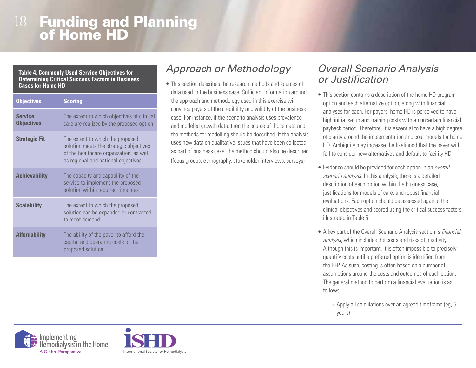#### **Table 4. Commonly Used Service Objectives for Determining Critical Success Factors in Business Cases for Home HD**

| <b>Objectives</b>                   | <b>Scoring</b>                                                                                                                                                |
|-------------------------------------|---------------------------------------------------------------------------------------------------------------------------------------------------------------|
| <b>Service</b><br><b>Objectives</b> | The extent to which objectives of clinical<br>care are realized by the proposed option                                                                        |
| <b>Strategic Fit</b>                | The extent to which the proposed<br>solution meets the strategic objectives<br>of the healthcare organization, as well<br>as regional and national objectives |
| <b>Achievability</b>                | The capacity and capability of the<br>service to implement the proposed<br>solution within required timelines                                                 |
| <b>Scalability</b>                  | The extent to which the proposed<br>solution can be expanded or contracted<br>to meet demand                                                                  |
| <b>Affordability</b>                | The ability of the payer to afford the<br>capital and operating costs of the<br>proposed solution                                                             |

## *Approach or Methodology*

• This section describes the research methods and sources of data used in the business case. Sufficient information around the approach and methodology used in this exercise will convince payers of the credibility and validity of the business case. For instance, if the scenario analysis uses prevalence and modeled growth data, then the source of those data and the methods for modelling should be described. If the analysis uses new data on qualitative issues that have been collected as part of business case, the method should also be described (focus groups, ethnography, stakeholder interviews, surveys)

### *Overall Scenario Analysis or Justification*

- This section contains a description of the home HD program option and each alternative option, along with financial analyses for each. For payers, home HD is perceived to have high initial setup and training costs with an uncertain financial payback period. Therefore, it is essential to have a high degree of clarity around the implementation and cost models for home HD. Ambiguity may increase the likelihood that the payer will fail to consider new alternatives and default to facility HD
- Evidence should be provided for each option in an *overall scenario analysis*. In this analysis, there is a detailed description of each option within the business case, justifications for models of care, and robust financial evaluations. Each option should be assessed against the clinical objectives and scored using the critical success factors illustrated in Table 5
- A key part of the Overall Scenario Analysis section is *financial analysis*, which includes the costs and risks of inactivity. Although this is important, it is often impossible to precisely quantify costs until a preferred option is identified from the RFP. As such, costing is often based on a number of assumptions around the costs and outcomes of each option. The general method to perform a financial evaluation is as follows:
	- » Apply all calculations over an agreed timeframe (eg, 5 years)



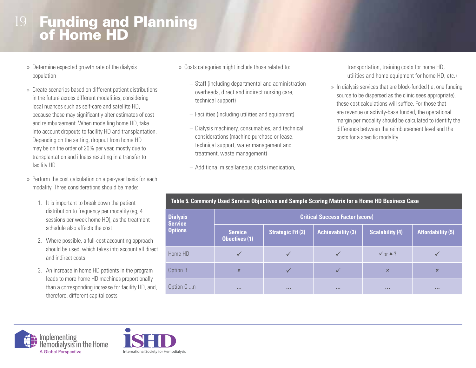- » Determine expected growth rate of the dialysis population
- » Create scenarios based on different patient distributions in the future across different modalities, considering local nuances such as self-care and satellite HD, because these may significantly alter estimates of cost and reimbursement. When modelling home HD, take into account dropouts to facility HD and transplantation. Depending on the setting, dropout from home HD may be on the order of 20% per year, mostly due to transplantation and illness resulting in a transfer to facility HD
- » Perform the cost calculation on a per-year basis for each modality. Three considerations should be made:
	- 1. It is important to break down the patient distribution to frequency per modality (eg, 4 sessions per week home HD), as the treatment schedule also affects the cost
	- 2. Where possible, a full-cost accounting approach should be used, which takes into account all direct and indirect costs
	- 3. An increase in home HD patients in the program leads to more home HD machines proportionally than a corresponding increase for facility HD, and, therefore, different capital costs
- » Costs categories might include those related to:
	- Staff (including departmental and administration overheads, direct and indirect nursing care, technical support)
	- Facilities (including utilities and equipment)
	- Dialysis machinery, consumables, and technical considerations (machine purchase or lease, technical support, water management and treatment, waste management)
	- Additional miscellaneous costs (medication,

transportation, training costs for home HD, utilities and home equipment for home HD, etc.)

» In dialysis services that are block-funded (ie, one funding source to be dispersed as the clinic sees appropriate), these cost calculations will suffice. For those that are revenue or activity-base funded, the operational margin per modality should be calculated to identify the difference between the reimbursement level and the costs for a specific modality

| <b>Dialysis</b><br><b>Service</b><br><b>Options</b> | <b>Critical Success Factor (score)</b> |                          |                          |                        |                          |  |  |  |
|-----------------------------------------------------|----------------------------------------|--------------------------|--------------------------|------------------------|--------------------------|--|--|--|
|                                                     | <b>Service</b><br><b>Obectives (1)</b> | <b>Strategic Fit (2)</b> | <b>Achievability (3)</b> | <b>Scalability (4)</b> | <b>Affordability (5)</b> |  |  |  |
| Home HD                                             |                                        |                          |                          | $\sqrt{0}$ r x ?       |                          |  |  |  |
| Option B                                            | $\mathbf x$                            |                          |                          | $\pmb{\times}$         | $\mathbf x$              |  |  |  |
| Option C n                                          | <b>ALC N</b>                           | <b>ALC N</b>             | <b>A 10 A</b>            | 10,000                 | 1.11                     |  |  |  |

#### **Table 5. Commonly Used Service Objectives and Sample Scoring Matrix for a Home HD Business Case**



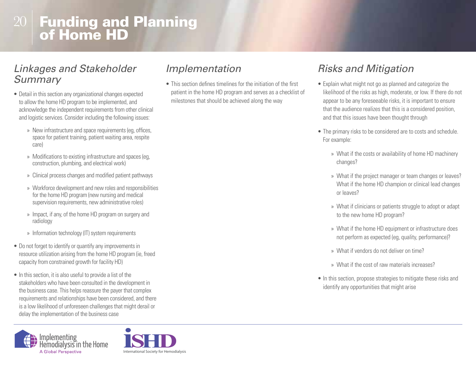### *Linkages and Stakeholder Summary*

- Detail in this section any organizational changes expected to allow the home HD program to be implemented, and acknowledge the independent requirements from other clinical and logistic services. Consider including the following issues:
	- » New infrastructure and space requirements (eg, offices, space for patient training, patient waiting area, respite care)
	- » Modifications to existing infrastructure and spaces (eg, construction, plumbing, and electrical work)
	- » Clinical process changes and modified patient pathways
	- » Workforce development and new roles and responsibilities for the home HD program (new nursing and medical supervision requirements, new administrative roles)
	- » Impact, if any, of the home HD program on surgery and radiology
	- » Information technology (IT) system requirements
- Do not forget to identify or quantify any improvements in resource utilization arising from the home HD program (ie, freed capacity from constrained growth for facility HD)
- In this section, it is also useful to provide a list of the stakeholders who have been consulted in the development in the business case. This helps reassure the payer that complex requirements and relationships have been considered, and there is a low likelihood of unforeseen challenges that might derail or delay the implementation of the business case





• This section defines timelines for the initiation of the first patient in the home HD program and serves as a checklist of milestones that should be achieved along the way

## *Risks and Mitigation*

- Explain what might not go as planned and categorize the likelihood of the risks as high, moderate, or low. If there do not appear to be any foreseeable risks, it is important to ensure that the audience realizes that this is a considered position, and that this issues have been thought through
- The primary risks to be considered are to costs and schedule. For example:
	- » What if the costs or availability of home HD machinery changes?
	- » What if the project manager or team changes or leaves? What if the home HD champion or clinical lead changes or leaves?
	- » What if clinicians or patients struggle to adopt or adapt to the new home HD program?
	- » What if the home HD equipment or infrastructure does not perform as expected (eg, quality, performance)?
	- » What if vendors do not deliver on time?
	- » What if the cost of raw materials increases?
- In this section, propose strategies to mitigate these risks and identify any opportunities that might arise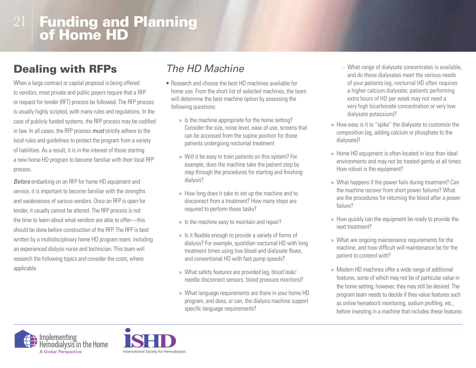## Dealing with RFPs

When a large contract or capital proposal is being offered to vendors, most private and public payers require that a RFP or request for tender (RFT) process be followed. The RFP process is usually highly scripted, with many rules and regulations. In the case of publicly funded systems, the RFP process may be codified in law. In all cases, the RFP process *must* strictly adhere to the local rules and guidelines to protect the program from a variety of liabilities. As a result, it is in the interest of those starting a new home HD program to become familiar with their local RFP process.

*Before* embarking on an RFP for home HD equipment and service, it is important to become familiar with the strengths and weaknesses of various vendors. Once an RFP is open for tender, it usually cannot be altered. The RFP process is not the time to learn about what vendors are able to offer—this should be done before construction of the RFP. The RFP is best written by a multidisciplinary home HD program team, including an experienced dialysis nurse and technician. This team will research the following topics and consider the costs, where applicable.

## *The HD Machine*

- Research and choose the best HD machines available for home use. From the short list of selected machines, the team will determine the best machine option by assessing the following questions:
	- » Is the machine appropriate for the home setting? Consider the size, noise level, ease of use, screens that can be accessed from the supine position for those patients undergoing nocturnal treatment
	- » Will it be easy to train patients on this system? For example, does the machine take the patient step by step through the procedures for starting and finishing dialysis?
	- » How long does it take to set up the machine and to disconnect from a treatment? How many steps are required to perform these tasks?
	- » Is the machine easy to maintain and repair?
	- » Is it flexible enough to provide a variety of forms of dialysis? For example, quotidian nocturnal HD with long treatment times using low blood and dialysate flows, and conventional HD with fast pump speeds?
	- » What safety features are provided (eg, blood leak/ needle disconnect sensors, blood pressure monitors)?
	- » What language requirements are there in your home HD program, and does, or can, the dialysis machine support specific language requirements?
- What range of dialysate concentrates is available, and do these dialysates meet the various needs of your patients (eg, nocturnal HD often requires a higher calcium dialysate; patients performing extra hours of HD per week may not need a very high bicarbonate concentration or very low dialysate potassium)?
- » How easy is it to "spike" the dialysate to customize the composition (eg, adding calcium or phosphate to the dialysate)?
- » Home HD equipment is often located in less than ideal environments and may not be treated gently at all times. How robust is the equipment?
- » What happens if the power fails during treatment? Can the machine recover from short power failures? What are the procedures for returning the blood after a power failure?
- » How quickly can the equipment be ready to provide the next treatment?
- » What are ongoing maintenance requirements for the machine, and how difficult will maintenance be for the patient to contend with?
- » Modern HD machines offer a wide range of additional features, some of which may not be of particular value in the home setting; however, they may still be desired. The program team needs to decide if they value features such as online hematocrit monitoring, sodium profiling, etc., before investing in a machine that includes these features



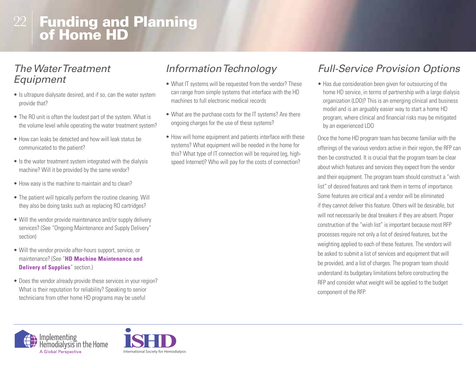### *The Water Treatment Equipment*

- Is ultrapure dialysate desired, and if so, can the water system provide that?
- The RO unit is often the loudest part of the system. What is the volume level while operating the water treatment system?
- How can leaks be detected and how will leak status be communicated to the patient?
- Is the water treatment system integrated with the dialysis machine? Will it be provided by the same vendor?
- How easy is the machine to maintain and to clean?
- The patient will typically perform the routine cleaning. Will they also be doing tasks such as replacing RO cartridges?
- Will the vendor provide maintenance and/or supply delivery services? (See "Ongoing Maintenance and Supply Delivery" section)
- Will the vendor provide after-hours support, service, or maintenance? (See "**HD Machine Maintenance and Delivery of Supplies**" section.)
- Does the vendor already provide these services in your region? What is their reputation for reliability? Speaking to senior technicians from other home HD programs may be useful

## *Information Technology*

- What IT systems will be requested from the vendor? These can range from simple systems that interface with the HD machines to full electronic medical records
- What are the purchase costs for the IT systems? Are there ongoing charges for the use of these systems?
- How will home equipment and patients interface with these systems? What equipment will be needed in the home for this? What type of IT connection will be required (eg, highspeed Internet)? Who will pay for the costs of connection?

## *Full-Service Provision Options*

• Has due consideration been given for outsourcing of the home HD service, in terms of partnership with a large dialysis organization (LDO)? This is an emerging clinical and business model and is an arguably easier way to start a home HD program, where clinical and financial risks may be mitigated by an experienced LDO

Once the home HD program team has become familiar with the offerings of the various vendors active in their region, the RFP can then be constructed. It is crucial that the program team be clear about which features and services they expect from the vendor and their equipment. The program team should construct a "wish list" of desired features and rank them in terms of importance. Some features are critical and a vendor will be eliminated if they cannot deliver this feature. Others will be desirable, but will not necessarily be deal breakers if they are absent. Proper construction of the "wish list" is important because most RFP processes require not only a list of desired features, but the weighting applied to each of these features. The vendors will be asked to submit a list of services and equipment that will be provided, and a list of charges. The program team should understand its budgetary limitations before constructing the RFP and consider what weight will be applied to the budget component of the RFP.



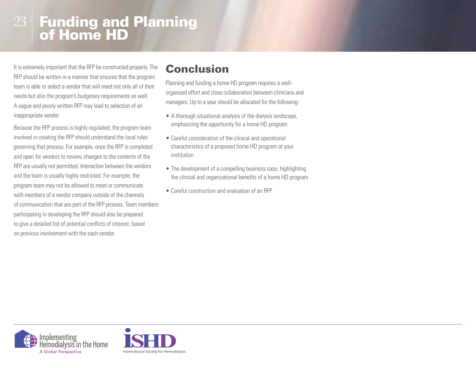It is extremely important that the RFP be constructed properly. The RFP should be written in a manner that ensures that the program team is able to select a vendor that will meet not only all of their needs but also the program's budgetary requirements as well. A vague and poorly written RFP may lead to selection of an inappropriate vendor.

Because the RFP process is highly regulated, the program team involved in creating the RFP should understand the local rules governing that process. For example, once the RFP is completed and open for vendors to review, changes to the contents of the RFP are usually not permitted. Interaction between the vendors and the team is usually highly restricted. For example, the program team may not be allowed to meet or communicate with members of a vendor company outside of the channels of communication that are part of the RFP process. Team members participating in developing the RFP should also be prepared to give a detailed list of potential conflicts of interest, based on previous involvement with the each vendor.

### Conclusion

Planning and funding a home HD program requires a wellorganized effort and close collaboration between clinicians and managers. Up to a year should be allocated for the following:

- A thorough situational analysis of the dialysis landscape, emphasizing the opportunity for a home HD program
- Careful consideration of the clinical and operational characteristics of a proposed home HD program at your institution
- The development of a compelling business case, highlighting the clinical and organizational benefits of a home HD program
- Careful construction and evaluation of an RFP



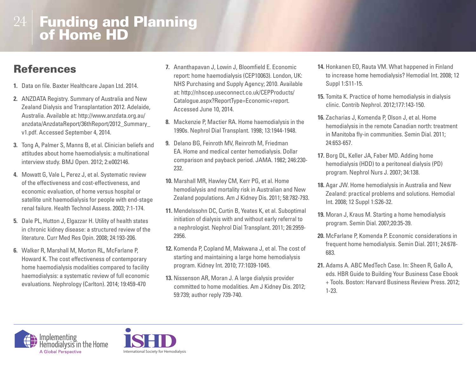## **References**

- **1.** Data on file. Baxter Healthcare Japan Ltd. 2014.
- **2.** ANZDATA Registry. Summary of Australia and New Zealand Dialysis and Transplantation 2012. Adelaide, Australia. Available at: http://www.anzdata.org.au/ anzdata/AnzdataReport/36thReport/2012\_Summary\_ v1.pdf. Accessed September 4, 2014.
- **3.** Tong A, Palmer S, Manns B, et al. Clinician beliefs and attitudes about home haemodialysis: a multinational interview study. BMJ Open. 2012; 2:e002146.
- **4.** Mowatt G, Vale L, Perez J, et al. Systematic review of the effectiveness and cost-effectiveness, and economic evaluation, of home versus hospital or satellite unit haemodialysis for people with end-stage renal failure. Health Technol Assess. 2003; 7:1-174.
- **5.** Dale PL, Hutton J, Elgazzar H. Utility of health states in chronic kidney disease: a structured review of the literature. Curr Med Res Opin. 2008; 24:193-206.
- **6.** Walker R, Marshall M, Morton RL, McFarlane P, Howard K. The cost effectiveness of contemporary home haemodialysis modalities compared to facility haemodialysis: a systematic review of full economic evaluations. Nephrology (Carlton). 2014; 19:459-470
- **7.** Ananthapavan J, Lowin J, Bloomfield E. Economic report: home haemodialysis (CEP10063). London, UK: NHS Purchasing and Supply Agency; 2010. Available at: http://nhscep.useconnect.co.uk/CEPProducts/ Catalogue.aspx?ReportType=Economic+report. Accessed June 10, 2014.
- **8.** Mackenzie P, Mactier RA. Home haemodialysis in the 1990s. Nephrol Dial Transplant. 1998; 13:1944-1948.
- **9.** Delano BG, Feinroth MV, Reinroth M, Friedman EA. Home and medical center hemodialysis. Dollar comparison and payback period. JAMA. 1982; 246:230- 232.
- **10.** Marshall MR, Hawley CM, Kerr PG, et al. Home hemodialysis and mortality risk in Australian and New Zealand populations. Am J Kidney Dis. 2011; 58:782-793.
- **11.** Mendelssohn DC, Curtin B, Yeates K, et al. Suboptimal initiation of dialysis with and without early referral to a nephrologist. Nephrol Dial Transplant. 2011; 26:2959- 2956.
- **12.** Komenda P, Copland M, Makwana J, et al. The cost of starting and maintaining a large home hemodialysis program. Kidney Int. 2010; 77:1039-1045.
- **13.** Nissenson AR, Moran J. A large dialysis provider committed to home modalities. Am J Kidney Dis. 2012; 59:739; author reply 739-740.
- **14.** Honkanen EO, Rauta VM. What happened in Finland to increase home hemodialysis? Hemodial Int. 2008; 12 Suppl 1:S11-15.
- **15.** Tomita K. Practice of home hemodialysis in dialysis clinic. Contrib Nephrol. 2012;177:143-150.
- **16.** Zacharias J, Komenda P, Olson J, et al. Home hemodialysis in the remote Canadian north: treatment in Manitoba fly-in communities. Semin Dial. 2011; 24:653-657.
- **17.** Borg DL, Keller JA, Faber MD. Adding home hemodialysis (HDD) to a peritoneal dialysis (PD) program. Nephrol Nurs J. 2007; 34:138.
- **18.** Agar JW. Home hemodialysis in Australia and New Zealand: practical problems and solutions. Hemodial Int. 2008; 12 Suppl 1:S26-32.
- **19.** Moran J, Kraus M. Starting a home hemodialysis program. Semin Dial. 2007;20:35-39.
- **20.** McFarlane P, Komenda P. Economic considerations in frequent home hemodialysis. Semin Dial. 2011; 24:678- 683.
- **21.** Adams A. ABC MedTech Case. In: Sheen R, Gallo A, eds. HBR Guide to Building Your Business Case Ebook + Tools. Boston: Harvard Business Review Press. 2012; 1-23.